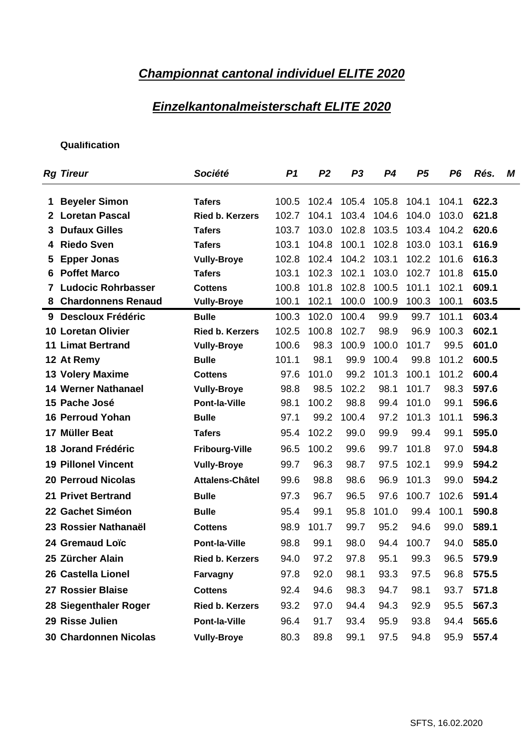## **Championnat cantonal individuel ELITE 2020**

### **Einzelkantonalmeisterschaft ELITE 2020**

| <b>Rg Tireur</b>                | Société                                |                                                                                        |      |                 | P1 P2 P3 P4 P5 P6 Rés. M                  |
|---------------------------------|----------------------------------------|----------------------------------------------------------------------------------------|------|-----------------|-------------------------------------------|
|                                 |                                        | 100.5 102.4 105.4 105.8 104.1 104.1 622.3                                              |      |                 |                                           |
| 1 Beyeler Simon                 | <b>Tafers</b>                          |                                                                                        |      |                 |                                           |
| 2 Loretan Pascal                | Ried b. Kerzers                        | 102.7 104.1 103.4 104.6 104.0 103.0 621.8                                              |      |                 |                                           |
| 3 Dufaux Gilles                 | <b>Tafers</b>                          | 103.7 103.0 102.8 103.5 103.4 104.2 620.6                                              |      |                 |                                           |
| 4 Riedo Sven                    | <b>Tafers</b>                          | 103.1 104.8 100.1 102.8 103.0 103.1 616.9<br>102.8 102.4 104.2 103.1 102.2 101.6 616.3 |      |                 |                                           |
| 5 Epper Jonas<br>6 Poffet Marco | <b>Vully-Broye</b>                     | 103.1 102.3 102.1 103.0 102.7 101.8 615.0                                              |      |                 |                                           |
| 7 Ludocic Rohrbasser            | <b>Tafers</b>                          | 100.8 101.8 102.8 100.5 101.1 102.1 609.1                                              |      |                 |                                           |
| 8 Chardonnens Renaud            | <b>Cottens</b><br><b>Vully-Broye</b>   |                                                                                        |      |                 | 100.1 102.1 100.0 100.9 100.3 100.1 603.5 |
| 9 Descloux Frédéric             |                                        | 100.3 102.0 100.4 99.9 99.7 101.1 603.4                                                |      |                 |                                           |
| <b>10 Loretan Olivier</b>       | <b>Bulle</b><br><b>Ried b. Kerzers</b> | 102.5 100.8 102.7 98.9 96.9 100.3 602.1                                                |      |                 |                                           |
| <b>11 Limat Bertrand</b>        |                                        | 100.6 98.3 100.9 100.0 101.7 99.5 601.0                                                |      |                 |                                           |
| 12 At Remy                      | <b>Vully-Broye</b>                     | 101.1 98.1                                                                             |      |                 | 99.9 100.4 99.8 101.2 600.5               |
| 13 Volery Maxime                | <b>Bulle</b><br><b>Cottens</b>         |                                                                                        |      |                 | 97.6 101.0 99.2 101.3 100.1 101.2 600.4   |
| <b>14 Werner Nathanael</b>      | <b>Vully-Broye</b>                     |                                                                                        |      |                 | 98.8 98.5 102.2 98.1 101.7 98.3 597.6     |
| 15 Pache José                   |                                        |                                                                                        |      |                 | 98.1 100.2 98.8 99.4 101.0 99.1 596.6     |
|                                 | <b>Pont-la-Ville</b>                   |                                                                                        |      |                 | 97.1 99.2 100.4 97.2 101.3 101.1 596.3    |
| 16 Perroud Yohan                | <b>Bulle</b>                           |                                                                                        |      |                 |                                           |
| 17 Müller Beat                  | <b>Tafers</b>                          |                                                                                        |      |                 | 95.4 102.2 99.0 99.9 99.4 99.1 595.0      |
| 18 Jorand Frédéric              | <b>Fribourg-Ville</b>                  |                                                                                        |      |                 | 96.5 100.2 99.6 99.7 101.8 97.0 594.8     |
| <b>19 Pillonel Vincent</b>      | <b>Vully-Broye</b>                     | 99.7 96.3                                                                              |      |                 | 98.7 97.5 102.1 99.9 594.2                |
| <b>20 Perroud Nicolas</b>       | Attalens-Châtel                        | 99.6 98.8                                                                              |      |                 | 98.6 96.9 101.3 99.0 594.2                |
| 21 Privet Bertrand              | <b>Bulle</b>                           | 97.3 96.7                                                                              |      |                 | 96.5 97.6 100.7 102.6 591.4               |
| 22 Gachet Siméon                | <b>Bulle</b>                           | 95.4 99.1                                                                              | 95.8 |                 | 101.0 99.4 100.1 590.8                    |
| 23 Rossier Nathanaël            | <b>Cottens</b>                         | 98.9 101.7                                                                             | 99.7 | 95.2            | 94.6 99.0 589.1                           |
| 24 Gremaud Loïc                 | Pont-la-Ville                          | 98.8 99.1                                                                              |      | 98.0 94.4 100.7 | 94.0 585.0                                |
| 25 Zürcher Alain                | <b>Ried b. Kerzers</b>                 |                                                                                        |      |                 | 94.0 97.2 97.8 95.1 99.3 96.5 579.9       |
| 26 Castella Lionel              | Farvagny                               |                                                                                        |      |                 | 97.8 92.0 98.1 93.3 97.5 96.8 575.5       |
| 27 Rossier Blaise               | <b>Cottens</b>                         |                                                                                        |      |                 | 92.4 94.6 98.3 94.7 98.1 93.7 571.8       |
|                                 |                                        |                                                                                        |      |                 |                                           |
| 28 Siegenthaler Roger           | <b>Ried b. Kerzers</b>                 |                                                                                        |      |                 | 93.2 97.0 94.4 94.3 92.9 95.5 567.3       |
| 29 Risse Julien                 | <b>Pont-la-Ville</b>                   |                                                                                        |      |                 | 96.4 91.7 93.4 95.9 93.8 94.4 565.6       |
| 30 Chardonnen Nicolas           | <b>Vully-Broye</b>                     |                                                                                        |      |                 | 80.3 89.8 99.1 97.5 94.8 95.9 557.4       |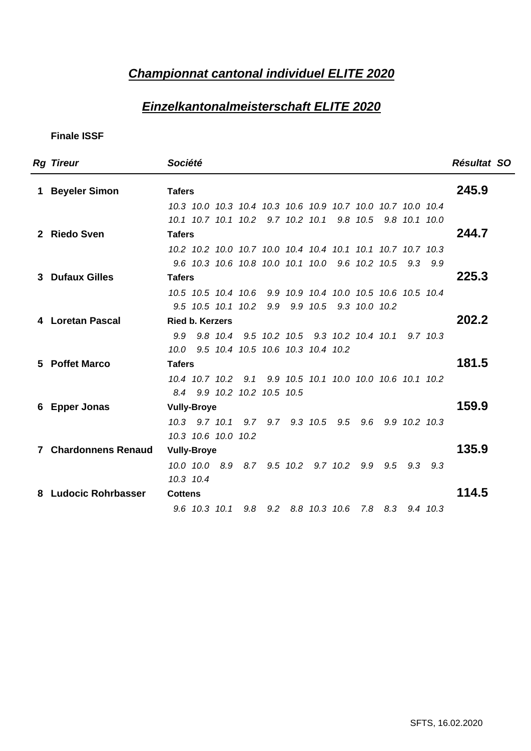## **Championnat cantonal individuel ELITE 2020**

### **Einzelkantonalmeisterschaft ELITE 2020**

| <b>Rg Tireur</b>     | Société                                                     | Résultat SO |
|----------------------|-------------------------------------------------------------|-------------|
| 1 Beyeler Simon      | <b>Tafers</b>                                               | 245.9       |
|                      | 10.3 10.0 10.3 10.4 10.3 10.6 10.9 10.7 10.0 10.7 10.0 10.4 |             |
|                      | 10.1 10.7 10.1 10.2 9.7 10.2 10.1 9.8 10.5 9.8 10.1 10.0    |             |
| 2 Riedo Sven         | <b>Tafers</b>                                               | 244.7       |
|                      | 10.2 10.2 10.0 10.7 10.0 10.4 10.4 10.1 10.1 10.7 10.7 10.3 |             |
|                      | 9.6 10.3 10.6 10.8 10.0 10.1 10.0 9.6 10.2 10.5 9.3 9.9     |             |
| 3 Dufaux Gilles      | <b>Tafers</b>                                               | 225.3       |
|                      | 10.5 10.5 10.4 10.6 9.9 10.9 10.4 10.0 10.5 10.6 10.5 10.4  |             |
|                      | 9.5 10.5 10.1 10.2 9.9 9.9 10.5 9.3 10.0 10.2               |             |
| 4 Loretan Pascal     | <b>Ried b. Kerzers</b>                                      | 202.2       |
|                      | 9.9 9.8 10.4 9.5 10.2 10.5 9.3 10.2 10.4 10.1 9.7 10.3      |             |
|                      | 10.0 9.5 10.4 10.5 10.6 10.3 10.4 10.2                      |             |
| 5 Poffet Marco       | <b>Tafers</b>                                               | 181.5       |
|                      | 10.4 10.7 10.2 9.1 9.9 10.5 10.1 10.0 10.0 10.6 10.1 10.2   |             |
|                      | 8.4 9.9 10.2 10.2 10.5 10.5                                 |             |
| 6 Epper Jonas        | <b>Vully-Broye</b>                                          | 159.9       |
|                      | 10.3 9.7 10.1 9.7 9.7 9.3 10.5 9.5 9.6 9.9 10.2 10.3        |             |
|                      | 10.3 10.6 10.0 10.2                                         |             |
| 7 Chardonnens Renaud | <b>Vully-Broye</b>                                          | 135.9       |
|                      | 10.0 10.0 8.9 8.7 9.5 10.2 9.7 10.2 9.9 9.5 9.3 9.3         |             |
|                      | 10.3 10.4                                                   |             |
| 8 Ludocic Rohrbasser | <b>Cottens</b>                                              | 114.5       |
|                      | 9.6 10.3 10.1 9.8 9.2 8.8 10.3 10.6 7.8 8.3 9.4 10.3        |             |
|                      |                                                             |             |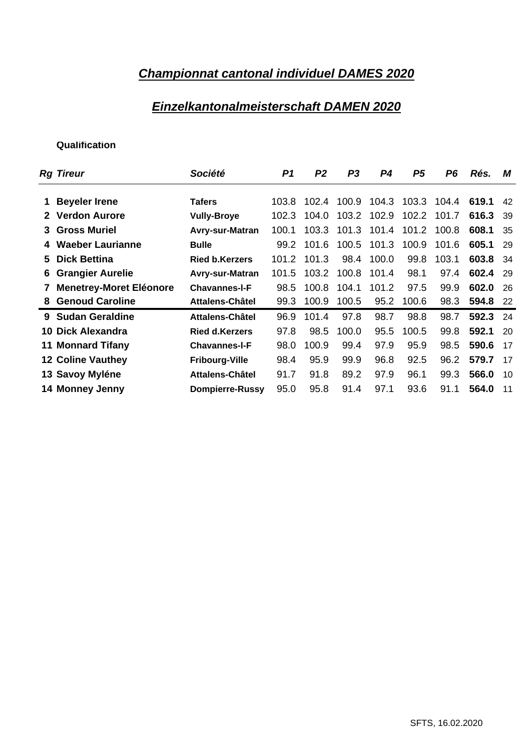## **Championnat cantonal individuel DAMES 2020**

### **Einzelkantonalmeisterschaft DAMEN 2020**

| <b>Rg Tireur</b>          | Société                   |                                              | P1 P2 | P3 P4 P5 P6 Rés. M           |  |                    |          |  |
|---------------------------|---------------------------|----------------------------------------------|-------|------------------------------|--|--------------------|----------|--|
|                           |                           |                                              |       |                              |  |                    |          |  |
| 1 Beyeler Irene           | <b>Tafers</b>             | 103.8 102.4 100.9 104.3 103.3 104.4 619.1 42 |       |                              |  |                    |          |  |
| 2 Verdon Aurore           | <b>Vully-Broye</b>        | 102.3 104.0 103.2 102.9 102.2 101.7 616.3 39 |       |                              |  |                    |          |  |
| 3 Gross Muriel            | Avry-sur-Matran           | 100.1 103.3 101.3 101.4 101.2 100.8 608.1 35 |       |                              |  |                    |          |  |
| 4 Waeber Laurianne        | <b>Bulle</b>              | 99.2 101.6 100.5 101.3 100.9 101.6 605.1 29  |       |                              |  |                    |          |  |
| 5 Dick Bettina            | <b>Ried b.Kerzers</b>     | 101.2 101.3                                  |       | 98.4 100.0                   |  | 99.8 103.1         | 603.8 34 |  |
| 6 Grangier Aurelie        | Avry-sur-Matran           | 101.5 103.2 100.8 101.4 98.1 97.4 602.4 29   |       |                              |  |                    |          |  |
| 7 Menetrey-Moret Eléonore | <b>Chavannes-I-F</b>      | 98.5 100.8 104.1 101.2 97.5 99.9 602.0 26    |       |                              |  |                    |          |  |
| 8 Genoud Caroline         | Attalens-Châtel           | 99.3 100.9 100.5 95.2 100.6 98.3 594.8 22    |       |                              |  |                    |          |  |
| 9 Sudan Geraldine         | Attalens-Châtel           | 96.9 101.4                                   |       | 97.8 98.7                    |  | 98.8 98.7 592.3 24 |          |  |
| 10 Dick Alexandra         | <b>Ried d.Kerzers</b>     | 97.8 98.5 100.0 95.5 100.5 99.8 592.1 20     |       |                              |  |                    |          |  |
| <b>11 Monnard Tifany</b>  | <b>Chavannes-I-F</b>      | 98.0 100.9                                   |       | 99.4 97.9 95.9 98.5 590.6 17 |  |                    |          |  |
| <b>12 Coline Vauthey</b>  | <b>Fribourg-Ville</b>     | 98.4                                         | 95.9  | 99.9 96.8 92.5 96.2 579.7 17 |  |                    |          |  |
| 13 Savoy Myléne           | Attalens-Châtel           | 91.7                                         | 91.8  | 89.2 97.9 96.1 99.3 566.0 10 |  |                    |          |  |
|                           |                           |                                              |       |                              |  |                    |          |  |
| 14 Monney Jenny           | Dompierre-Russy 95.0 95.8 |                                              |       | 91.4 97.1                    |  | 93.6 91.1 564.0 11 |          |  |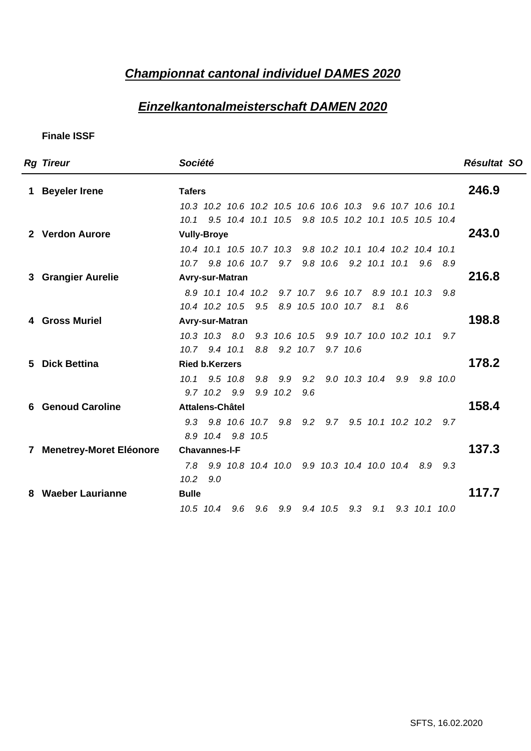#### **Championnat cantonal individuel DAMES 2020**

### **Einzelkantonalmeisterschaft DAMEN 2020**

| <b>Rg Tireur</b>               | Société                                                    | Résultat SO |
|--------------------------------|------------------------------------------------------------|-------------|
| <b>Beyeler Irene</b>           | <b>Tafers</b>                                              | 246.9       |
|                                | 10.3 10.2 10.6 10.2 10.5 10.6 10.6 10.3 9.6 10.7 10.6 10.1 |             |
|                                | 10.1 9.5 10.4 10.1 10.5 9.8 10.5 10.2 10.1 10.5 10.5 10.4  |             |
| 2 Verdon Aurore                | <b>Vully-Broye</b>                                         | 243.0       |
|                                | 10.4 10.1 10.5 10.7 10.3 9.8 10.2 10.1 10.4 10.2 10.4 10.1 |             |
|                                | 10.7 9.8 10.6 10.7 9.7 9.8 10.6 9.2 10.1 10.1 9.6 8.9      |             |
| 3 Grangier Aurelie             | Avry-sur-Matran                                            | 216.8       |
|                                | 8.9 10.1 10.4 10.2 9.7 10.7 9.6 10.7 8.9 10.1 10.3 9.8     |             |
|                                | 10.4 10.2 10.5 9.5 8.9 10.5 10.0 10.7 8.1 8.6              |             |
| 4 Gross Muriel                 | Avry-sur-Matran                                            | 198.8       |
|                                | 10.3 10.3 8.0 9.3 10.6 10.5 9.9 10.7 10.0 10.2 10.1 9.7    |             |
|                                | 10.7 9.4 10.1 8.8 9.2 10.7 9.7 10.6                        |             |
| 5 Dick Bettina                 | <b>Ried b.Kerzers</b>                                      | 178.2       |
|                                | 10.1 9.5 10.8 9.8 9.9 9.2 9.0 10.3 10.4 9.9 9.8 10.0       |             |
|                                | 9.7 10.2 9.9 9.9 10.2 9.6                                  | 158.4       |
| <b>6 Genoud Caroline</b>       | Attalens-Châtel                                            |             |
|                                | 9.3 9.8 10.6 10.7 9.8 9.2 9.7 9.5 10.1 10.2 10.2 9.7       |             |
|                                | 8.9 10.4 9.8 10.5                                          | 137.3       |
| <b>Menetrey-Moret Eléonore</b> | <b>Chavannes-I-F</b>                                       |             |
|                                | 7.8 9.9 10.8 10.4 10.0 9.9 10.3 10.4 10.0 10.4 8.9 9.3     |             |
|                                | 10.2 9.0                                                   | 117.7       |
| 8 Waeber Laurianne             | <b>Bulle</b>                                               |             |
|                                | 10.5 10.4 9.6 9.6 9.9 9.4 10.5 9.3 9.1 9.3 10.1 10.0       |             |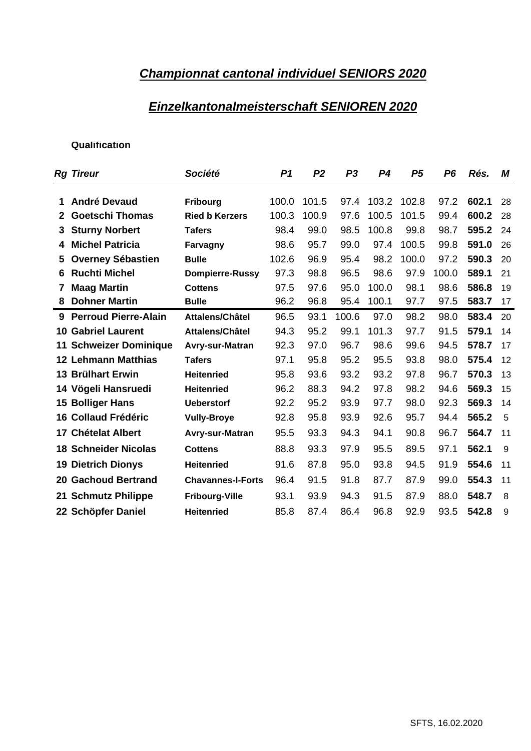#### **Championnat cantonal individuel SENIORS 2020**

#### **Einzelkantonalmeisterschaft SENIOREN 2020**

| <b>Rg Tireur</b>              | Société                  | P1 P2       |      | P3         | <b>P4</b>                               |      |                 | P5 P6 Rés. M        |  |
|-------------------------------|--------------------------|-------------|------|------------|-----------------------------------------|------|-----------------|---------------------|--|
|                               |                          |             |      |            |                                         |      |                 |                     |  |
| 1 André Devaud                | <b>Fribourg</b>          | 100.0 101.5 |      |            | 97.4 103.2 102.8 97.2 602.1 28          |      |                 |                     |  |
| 2 Goetschi Thomas             | <b>Ried b Kerzers</b>    | 100.3 100.9 |      |            | 97.6 100.5 101.5                        |      |                 | 99.4 600.2 28       |  |
| 3 Sturny Norbert              | <b>Tafers</b>            | 98.4 99.0   |      | 98.5 100.8 |                                         |      |                 | 99.8 98.7 595.2 24  |  |
| 4 Michel Patricia             | Farvagny                 | 98.6 95.7   |      | 99.0       | 97.4 100.5 99.8 591.0 26                |      |                 |                     |  |
| 5 Overney Sébastien           | <b>Bulle</b>             | 102.6 96.9  |      | 95.4       | 98.2 100.0 97.2 590.3 20                |      |                 |                     |  |
| 6 Ruchti Michel               | <b>Dompierre-Russy</b>   | 97.3 98.8   |      | 96.5       | 98.6                                    |      |                 | 97.9 100.0 589.1 21 |  |
| 7 Maag Martin                 | <b>Cottens</b>           | 97.5 97.6   |      | 95.0       | 100.0                                   |      |                 | 98.1 98.6 586.8 19  |  |
| 8 Dohner Martin               | <b>Bulle</b>             | 96.2 96.8   |      | 95.4 100.1 |                                         |      |                 | 97.7 97.5 583.7 17  |  |
| 9 Perroud Pierre-Alain        | Attalens/Châtel          |             |      |            | 96.5 93.1 100.6 97.0 98.2 98.0 583.4 20 |      |                 |                     |  |
| <b>10 Gabriel Laurent</b>     | Attalens/Châtel          | 94.3        | 95.2 | 99.1 101.3 |                                         |      |                 | 97.7 91.5 579.1 14  |  |
| <b>11 Schweizer Dominique</b> | Avry-sur-Matran          | 92.3 97.0   |      | 96.7       | 98.6                                    |      |                 | 99.6 94.5 578.7 17  |  |
| <b>12 Lehmann Matthias</b>    | <b>Tafers</b>            | 97.1 95.8   |      | 95.2       | 95.5 93.8 98.0 575.4 12                 |      |                 |                     |  |
| 13 Brülhart Erwin             | <b>Heitenried</b>        | 95.8 93.6   |      |            | 93.2 93.2 97.8 96.7 570.3 13            |      |                 |                     |  |
| 14 Vögeli Hansruedi           | <b>Heitenried</b>        | 96.2 88.3   |      |            | 94.2 97.8 98.2 94.6 569.3 15            |      |                 |                     |  |
| 15 Bolliger Hans              | <b>Ueberstorf</b>        | 92.2 95.2   |      |            | 93.9 97.7 98.0 92.3 569.3 14            |      |                 |                     |  |
| 16 Collaud Frédéric           | <b>Vully-Broye</b>       | 92.8 95.8   |      |            | 93.9 92.6 95.7 94.4 565.2               |      |                 |                     |  |
|                               |                          |             |      | 94.3       | 94.1                                    | 90.8 |                 |                     |  |
| 17 Chételat Albert            | Avry-sur-Matran          | 95.5 93.3   |      |            |                                         |      |                 | 96.7 564.7 1        |  |
| <b>18 Schneider Nicolas</b>   | <b>Cottens</b>           | 88.8 93.3   |      | 97.9       | 95.5                                    |      | 89.5 97.1 562.1 |                     |  |
| <b>19 Dietrich Dionys</b>     | <b>Heitenried</b>        | 91.6 87.8   |      | 95.0       | 93.8 94.5 91.9 554.6 11                 |      |                 |                     |  |
| 20 Gachoud Bertrand           | <b>Chavannes-I-Forts</b> | 96.4        | 91.5 | 91.8 87.7  |                                         |      |                 | 87.9 99.0 554.3 1   |  |
| 21 Schmutz Philippe           | <b>Fribourg-Ville</b>    | 93.1 93.9   |      | 94.3       | 91.5 87.9 88.0 548.7                    |      |                 |                     |  |
| 22 Schöpfer Daniel            | Heitenried               | 85.8 87.4   |      |            | 86.4 96.8 92.9 93.5 542.8               |      |                 |                     |  |
|                               |                          |             |      |            |                                         |      |                 |                     |  |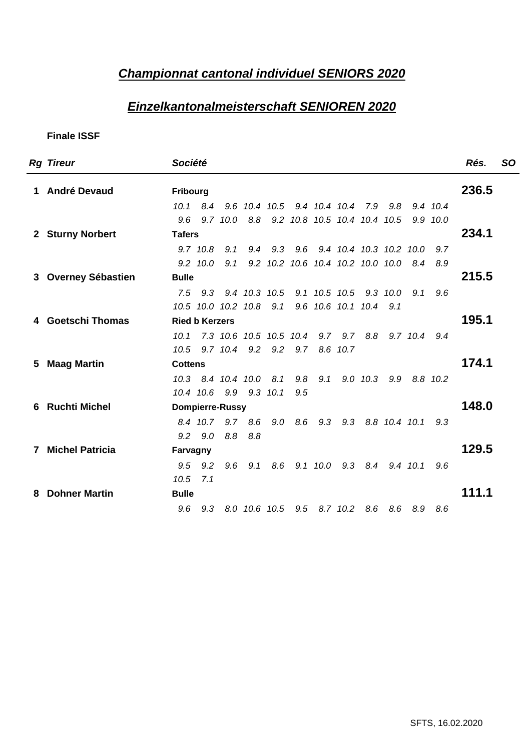#### **Championnat cantonal individuel SENIORS 2020**

### **Einzelkantonalmeisterschaft SENIOREN 2020**

| <b>Rg Tireur</b>    | Société                                                                      | Rés. SO |
|---------------------|------------------------------------------------------------------------------|---------|
| 1 André Devaud      | Fribourg                                                                     | 236.5   |
|                     | 10.1 8.4 9.6 10.4 10.5 9.4 10.4 10.4 7.9 9.8 9.4 10.4                        |         |
|                     | 9.6 9.7 10.0 8.8 9.2 10.8 10.5 10.4 10.4 10.5 9.9 10.0                       |         |
| 2 Sturny Norbert    | <b>Tafers</b>                                                                | 234.1   |
|                     | 9.7 10.8 9.1 9.4 9.3 9.6 9.4 10.4 10.3 10.2 10.0 9.7                         |         |
|                     | 9.2 10.0 9.1 9.2 10.2 10.6 10.4 10.2 10.0 10.0 8.4 8.9                       |         |
| 3 Overney Sébastien | <b>Bulle</b>                                                                 | 215.5   |
|                     | 7.5 9.3 9.4 10.3 10.5 9.1 10.5 10.5 9.3 10.0 9.1 9.6                         |         |
|                     | 10.5 10.0 10.2 10.8 9.1 9.6 10.6 10.1 10.4 9.1                               |         |
| 4 Goetschi Thomas   | <b>Ried b Kerzers</b>                                                        | 195.1   |
|                     | 10.1 7.3 10.6 10.5 10.5 10.4 9.7 9.7 8.8 9.7 10.4 9.4                        |         |
|                     | 10.5 9.7 10.4 9.2 9.2 9.7 8.6 10.7                                           |         |
| 5 Maag Martin       | <b>Cottens</b>                                                               | 174.1   |
|                     | 10.3 8.4 10.4 10.0 8.1 9.8 9.1 9.0 10.3 9.9 8.8 10.2                         |         |
| 6 Ruchti Michel     | 10.4 10.6 9.9 9.3 10.1 9.5                                                   | 148.0   |
|                     | <b>Dompierre-Russy</b><br>8.4 10.7 9.7 8.6 9.0 8.6 9.3 9.3 8.8 10.4 10.1 9.3 |         |
|                     | 9.2 9.0 8.8 8.8                                                              |         |
| 7 Michel Patricia   | Farvagny                                                                     | 129.5   |
|                     | 9.5 9.2 9.6 9.1 8.6 9.1 10.0 9.3 8.4 9.4 10.1 9.6                            |         |
|                     | $10.5$ $7.1$                                                                 |         |
| 8 Dohner Martin     | <b>Bulle</b>                                                                 | 111.1   |
|                     | 9.6 9.3 8.0 10.6 10.5 9.5 8.7 10.2 8.6 8.6 8.9 8.6                           |         |
|                     |                                                                              |         |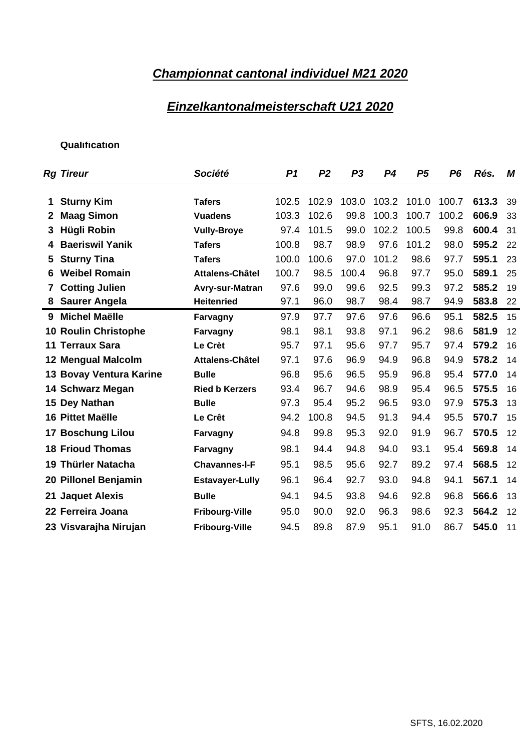## **Championnat cantonal individuel M21 2020**

### **Einzelkantonalmeisterschaft U21 2020**

| <b>Rg Tireur</b>        | Société                |                                              |      | P1 P2 P3 P4 P5 P6 Rés. M        |                         |  |                    |
|-------------------------|------------------------|----------------------------------------------|------|---------------------------------|-------------------------|--|--------------------|
|                         |                        |                                              |      |                                 |                         |  |                    |
| 1 Sturny Kim            | <b>Tafers</b>          | 102.5 102.9 103.0 103.2 101.0 100.7 613.3 39 |      |                                 |                         |  |                    |
| 2 Maag Simon            | <b>Vuadens</b>         | 103.3 102.6                                  |      | 99.8 100.3 100.7 100.2 606.9 33 |                         |  |                    |
| 3 Hügli Robin           | <b>Vully-Broye</b>     | 97.4 101.5                                   |      | 99.0 102.2 100.5 99.8 600.4 31  |                         |  |                    |
| 4 Baeriswil Yanik       | Tafers                 | 100.8 98.7                                   |      | 98.9 97.6 101.2 98.0 595.2 22   |                         |  |                    |
| 5 Sturny Tina           | <b>Tafers</b>          | 100.0 100.6                                  |      | 97.0 101.2 98.6 97.7 595.1 23   |                         |  |                    |
| 6 Weibel Romain         | Attalens-Châtel        | 100.7                                        | 98.5 | 96.8<br>100.4                   | 97.7                    |  | 95.0 589.1 25      |
| 7 Cotting Julien        | Avry-sur-Matran        | 97.6                                         | 99.0 | 99.6 92.5                       |                         |  | 99.3 97.2 585.2 19 |
| 8 Saurer Angela         | <b>Heitenried</b>      | 97.1 96.0                                    |      | 98.7 98.4 98.7 94.9 583.8 22    |                         |  |                    |
| 9 Michel Maëlle         | Farvagny               | 97.9 97.7                                    |      | 97.6 97.6 96.6 95.1 582.5 15    |                         |  |                    |
| 10 Roulin Christophe    | Farvagny               | 98.1 98.1                                    |      | 93.8                            | 96.2<br>97.1            |  | 98.6 581.9 12      |
| 11 Terraux Sara         | <b>Le Crèt</b>         | 95.7 97.1                                    |      | 95.6                            | 97.7<br>95.7            |  | 97.4 579.2 16      |
|                         | Attalens-Châtel        | 97.1 97.6                                    |      | 96.9                            | 94.9                    |  | 96.8 94.9 578.2 14 |
| 12 Mengual Malcolm      |                        |                                              |      |                                 |                         |  |                    |
| 13 Bovay Ventura Karine | <b>Bulle</b>           | 96.8 95.6                                    |      | 96.5                            | 95.9                    |  | 96.8 95.4 577.0 14 |
| 14 Schwarz Megan        | <b>Ried b Kerzers</b>  | 93.4 96.7                                    |      | 94.6 98.9                       |                         |  | 95.4 96.5 575.5 16 |
| 15 Dey Nathan           | <b>Bulle</b>           | 97.3 95.4                                    |      | 95.2                            | 96.5 93.0 97.9 575.3 13 |  |                    |
| 16 Pittet Maëlle        | <b>Le Crêt</b>         | 94.2 100.8 94.5 91.3 94.4 95.5 570.7 15      |      |                                 |                         |  |                    |
| 17 Boschung Lilou       | Farvagny               | 94.8 99.8                                    |      | 95.3                            | 92.0 91.9 96.7 570.5 12 |  |                    |
| <b>18 Frioud Thomas</b> | Farvagny               | 98.1 94.4                                    |      | 94.8 94.0 93.1                  |                         |  | 95.4 569.8 14      |
| 19 Thürler Natacha      | <b>Chavannes-I-F</b>   | 95.1                                         | 98.5 | 95.6                            | 92.7<br>89.2            |  | 97.4 568.5 12      |
| 20 Pillonel Benjamin    | <b>Estavayer-Lully</b> | 96.1                                         | 96.4 | 92.7                            | 93.0<br>94.8            |  | 94.1 567.1 14      |
| 21 Jaquet Alexis        | <b>Bulle</b>           | 94.1<br>94.5                                 |      | 93.8                            | 92.8<br>94.6            |  | 96.8 566.6 13      |
| 22 Ferreira Joana       | <b>Fribourg-Ville</b>  | 95.0                                         | 90.0 | 92.0                            | 96.3<br>98.6            |  | 92.3 564.2 12      |
|                         |                        |                                              |      |                                 |                         |  |                    |
| 23 Visvarajha Nirujan   | <b>Fribourg-Ville</b>  | 94.5 89.8                                    |      | 87.9 95.1 91.0 86.7 545.0 11    |                         |  |                    |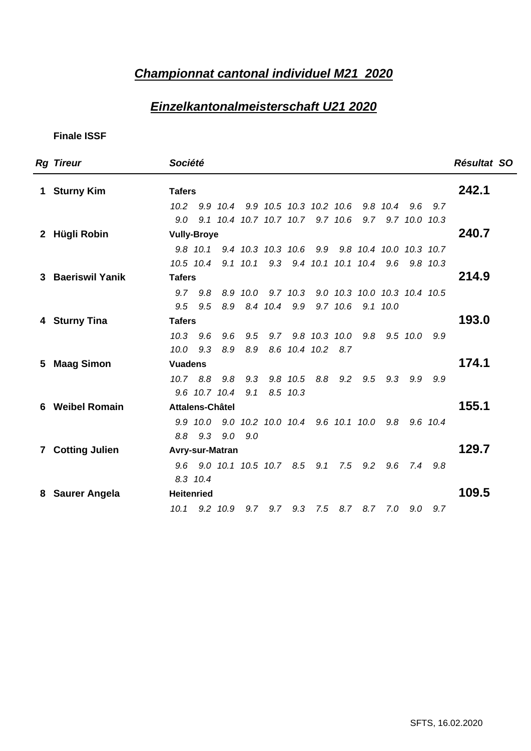### **Championnat cantonal individuel M21 2020**

### **Einzelkantonalmeisterschaft U21 2020**

| <b>Rg Tireur</b>  | Société                                                           | Résultat SO |
|-------------------|-------------------------------------------------------------------|-------------|
| 1 Sturny Kim      | <b>Tafers</b>                                                     | 242.1       |
|                   | 10.2  9.9  10.4  9.9  10.5  10.3  10.2  10.6  9.8  10.4  9.6  9.7 |             |
|                   | 9.0 9.1 10.4 10.7 10.7 10.7 9.7 10.6 9.7 9.7 10.0 10.3            |             |
| 2 Hügli Robin     | <b>Vully-Broye</b>                                                | 240.7       |
|                   | 9.8 10.1 9.4 10.3 10.3 10.6 9.9 9.8 10.4 10.0 10.3 10.7           |             |
|                   | 10.5 10.4 9.1 10.1 9.3 9.4 10.1 10.1 10.4 9.6 9.8 10.3            |             |
| 3 Baeriswil Yanik | <b>Tafers</b>                                                     | 214.9       |
|                   | 9.7 9.8 8.9 10.0 9.7 10.3 9.0 10.3 10.0 10.3 10.4 10.5            |             |
|                   | 9.5 9.5 8.9 8.4 10.4 9.9 9.7 10.6 9.1 10.0                        |             |
| 4 Sturny Tina     | <b>Tafers</b>                                                     | 193.0       |
|                   | 10.3 9.6 9.6 9.5 9.7 9.8 10.3 10.0 9.8 9.5 10.0 9.9               |             |
|                   | 10.0 9.3 8.9 8.9 8.6 10.4 10.2 8.7                                |             |
| 5 Maag Simon      | <b>Vuadens</b>                                                    | 174.1       |
|                   | 10.7 8.8 9.8 9.3 9.8 10.5 8.8 9.2 9.5 9.3 9.9 9.9                 |             |
|                   | 9.6 10.7 10.4 9.1 8.5 10.3                                        |             |
| 6 Weibel Romain   | Attalens-Châtel                                                   | 155.1       |
|                   | 9.9 10.0 9.0 10.2 10.0 10.4 9.6 10.1 10.0 9.8 9.6 10.4            |             |
|                   | 8.8 9.3 9.0 9.0                                                   |             |
| 7 Cotting Julien  | <b>Avry-sur-Matran</b>                                            | 129.7       |
|                   | 9.6 9.0 10.1 10.5 10.7 8.5 9.1 7.5 9.2 9.6 7.4 9.8                |             |
|                   | 8.3 10.4                                                          |             |
| 8 Saurer Angela   | <b>Heitenried</b>                                                 | 109.5       |
|                   | 10.1 9.2 10.9 9.7 9.7 9.3 7.5 8.7 8.7 7.0 9.0 9.7                 |             |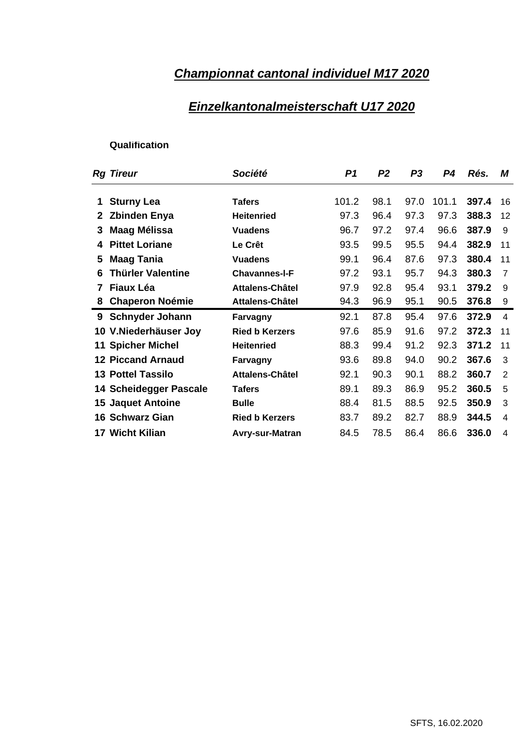## **Championnat cantonal individuel M17 2020**

### **Einzelkantonalmeisterschaft U17 2020**

| 1 Sturny Lea<br>2 Zbinden Enya<br>3 Maag Mélissa<br>4 Pittet Loriane<br>5 Maag Tania<br>6 Thürler Valentine | <b>Tafers</b><br><b>Heitenried</b><br><b>Vuadens</b><br>Le Crêt<br><b>Vuadens</b><br><b>Chavannes-I-F</b><br>Attalens-Châtel | 101.2 98.1<br>97.3 96.4<br>93.5 99.5<br>99.1 96.4<br>97.2 93.1 | 95.5<br>87.6 | 97.0 101.1 397.4 16<br>97.3 97.3 388.3 12<br>96.7 97.2 97.4 96.6 387.9 9<br>94.4 382.9 11<br>97.3 380.4 11<br>95.7 94.3 380.3 |  |
|-------------------------------------------------------------------------------------------------------------|------------------------------------------------------------------------------------------------------------------------------|----------------------------------------------------------------|--------------|-------------------------------------------------------------------------------------------------------------------------------|--|
|                                                                                                             |                                                                                                                              |                                                                |              |                                                                                                                               |  |
|                                                                                                             |                                                                                                                              |                                                                |              |                                                                                                                               |  |
|                                                                                                             |                                                                                                                              |                                                                |              |                                                                                                                               |  |
|                                                                                                             |                                                                                                                              |                                                                |              |                                                                                                                               |  |
|                                                                                                             |                                                                                                                              |                                                                |              |                                                                                                                               |  |
|                                                                                                             |                                                                                                                              |                                                                |              |                                                                                                                               |  |
|                                                                                                             |                                                                                                                              |                                                                |              |                                                                                                                               |  |
| 7 Fiaux Léa                                                                                                 |                                                                                                                              |                                                                | 97.9 92.8    | 95.4 93.1 379.2 9                                                                                                             |  |
| 8 Chaperon Noémie                                                                                           | Attalens-Châtel                                                                                                              |                                                                |              | 94.3 96.9 95.1 90.5 376.8                                                                                                     |  |
| 9 Schnyder Johann                                                                                           | Farvagny                                                                                                                     |                                                                |              | 92.1 87.8 95.4 97.6 372.9                                                                                                     |  |
|                                                                                                             |                                                                                                                              |                                                                |              | 97.6 85.9 91.6 97.2 372.3 11                                                                                                  |  |
| 10 V.Niederhäuser Joy                                                                                       | <b>Ried b Kerzers</b>                                                                                                        |                                                                |              |                                                                                                                               |  |
| <b>11 Spicher Michel</b>                                                                                    | <b>Heitenried</b>                                                                                                            |                                                                |              | 88.3 99.4 91.2 92.3 371.2 11                                                                                                  |  |
| <b>12 Piccand Arnaud</b>                                                                                    | Farvagny                                                                                                                     | 93.6 89.8                                                      | 94.0         | 90.2 367.6                                                                                                                    |  |
| <b>13 Pottel Tassilo</b>                                                                                    | Attalens-Châtel                                                                                                              | 92.1 90.3                                                      | 90.1         | 88.2 360.7                                                                                                                    |  |
| 14 Scheidegger Pascale                                                                                      | <b>Tafers</b>                                                                                                                | 89.1 89.3                                                      | 86.9         | 95.2 360.5                                                                                                                    |  |
| <b>15 Jaquet Antoine</b>                                                                                    | <b>Bulle</b>                                                                                                                 | 88.4 81.5                                                      | 88.5         | 92.5 350.9                                                                                                                    |  |
| 16 Schwarz Gian                                                                                             | <b>Ried b Kerzers</b>                                                                                                        | 83.7 89.2                                                      | 82.7         | 88.9 344.5                                                                                                                    |  |
| 17 Wicht Kilian                                                                                             | Avry-sur-Matran                                                                                                              |                                                                |              | 84.5 78.5 86.4 86.6 336.0 4                                                                                                   |  |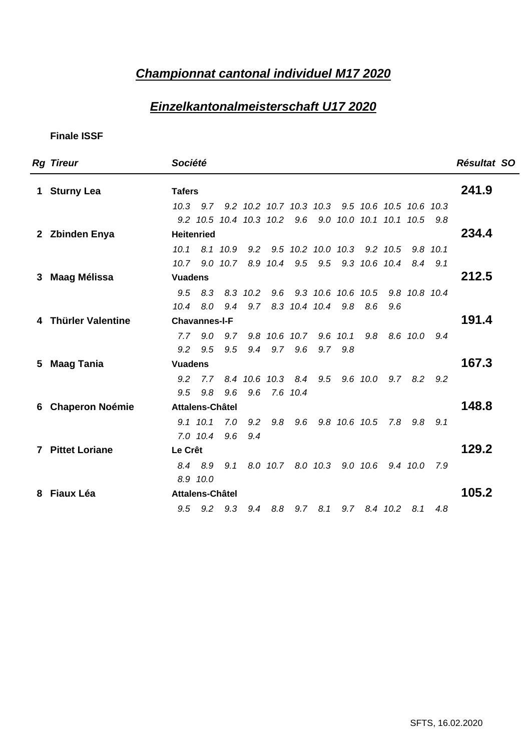### **Championnat cantonal individuel M17 2020**

### **Einzelkantonalmeisterschaft U17 2020**

| <b>Rg Tireur</b>    | Société                                                  | Résultat SO |
|---------------------|----------------------------------------------------------|-------------|
| 1 Sturny Lea        | <b>Tafers</b>                                            | 241.9       |
|                     | 10.3 9.7 9.2 10.2 10.7 10.3 10.3 9.5 10.6 10.5 10.6 10.3 |             |
|                     | 9.2 10.5 10.4 10.3 10.2 9.6 9.0 10.0 10.1 10.1 10.5 9.8  |             |
| 2 Zbinden Enya      | Heitenried                                               | 234.4       |
|                     | 10.1 8.1 10.9 9.2 9.5 10.2 10.0 10.3 9.2 10.5 9.8 10.1   |             |
|                     | 10.7 9.0 10.7 8.9 10.4 9.5 9.5 9.3 10.6 10.4 8.4 9.1     |             |
| 3 Maag Mélissa      | <b>Vuadens</b>                                           | 212.5       |
|                     | 9.5 8.3 8.3 10.2 9.6 9.3 10.6 10.6 10.5 9.8 10.8 10.4    |             |
|                     | 10.4 8.0 9.4 9.7 8.3 10.4 10.4 9.8 8.6 9.6               |             |
| 4 Thürler Valentine | <b>Chavannes-I-F</b>                                     | 191.4       |
|                     | 7.7 9.0 9.7 9.8 10.6 10.7 9.6 10.1 9.8 8.6 10.0 9.4      |             |
|                     | 9.2 9.5 9.5 9.4 9.7 9.6 9.7 9.8                          |             |
| 5 Maag Tania        | <b>Vuadens</b>                                           | 167.3       |
|                     | 9.2 7.7 8.4 10.6 10.3 8.4 9.5 9.6 10.0 9.7 8.2 9.2       |             |
|                     | 9.5 9.8 9.6 9.6 7.6 10.4                                 |             |
| 6 Chaperon Noémie   | Attalens-Châtel                                          | 148.8       |
|                     | 9.1 10.1 7.0 9.2 9.8 9.6 9.8 10.6 10.5 7.8 9.8 9.1       |             |
|                     | 7.0 10.4 9.6 9.4                                         |             |
| 7 Pittet Loriane    | Le Crêt                                                  | 129.2       |
|                     | 8.4 8.9 9.1 8.0 10.7 8.0 10.3 9.0 10.6 9.4 10.0 7.9      |             |
|                     | 8.9 10.0                                                 |             |
| 8 Fiaux Léa         | Attalens-Châtel                                          | 105.2       |
|                     | 9.5 9.2 9.3 9.4 8.8 9.7 8.1 9.7 8.4 10.2 8.1 4.8         |             |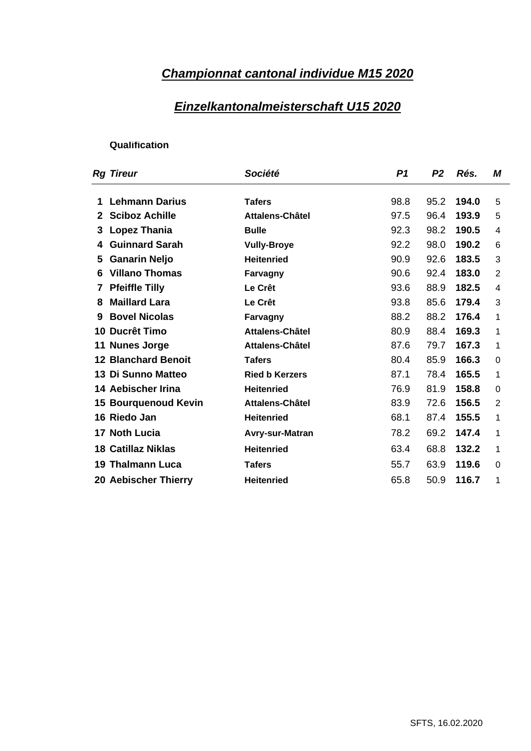## **Championnat cantonal individue M15 2020**

#### **Einzelkantonalmeisterschaft U15 2020**

| <b>Rg Tireur</b>            | Société               | P1 P2 Rés. M              |
|-----------------------------|-----------------------|---------------------------|
|                             |                       |                           |
| 1 Lehmann Darius            | <b>Tafers</b>         | 95.2 194.0 5<br>98.8      |
| 2 Sciboz Achille            | Attalens-Châtel       | 97.5 96.4 193.9 5         |
| 3 Lopez Thania              | <b>Bulle</b>          | 92.3 98.2 190.5 4         |
| 4 Guinnard Sarah            | <b>Vully-Broye</b>    | 98.0 190.2 6<br>92.2      |
| 5 Ganarin Neljo             | <b>Heitenried</b>     | 92.6 183.5 3<br>90.9      |
| 6 Villano Thomas            | Farvagny              | 92.4 183.0<br>90.6        |
| 7 Pfeiffle Tilly            | <b>Le Crêt</b>        | 88.9 182.5<br>93.6        |
| 8 Maillard Lara             | <b>Le Crêt</b>        | $179.4$ 3<br>85.6<br>93.8 |
| 9 Bovel Nicolas             | Farvagny              | 88.2 88.2 176.4           |
| 10 Ducrêt Timo              | Attalens-Châtel       | 88.4<br>169.3<br>80.9     |
| 11 Nunes Jorge              | Attalens-Châtel       | 167.3<br>87.6 79.7        |
| <b>12 Blanchard Benoit</b>  | <b>Tafers</b>         | $166.3$ 0<br>85.9<br>80.4 |
| 13 Di Sunno Matteo          | <b>Ried b Kerzers</b> | 165.5<br>87.1 78.4        |
| 14 Aebischer Irina          | Heitenried            | $158.8$ 0<br>76.9 81.9    |
| <b>15 Bourquenoud Kevin</b> | Attalens-Châtel       | 83.9 72.6 156.5           |
| 16 Riedo Jan                | <b>Heitenried</b>     | 68.1 87.4 155.5           |
|                             |                       |                           |
| 17 Noth Lucia               | Avry-sur-Matran       | 78.2 69.2 147.4           |
| 18 Catillaz Niklas          | Heitenried            | 63.4 68.8 132.2           |
| 19 Thalmann Luca            | <b>Tafers</b>         | 55.7 63.9 119.6 0         |
| <b>20 Aebischer Thierry</b> | <b>Heitenried</b>     | 65.8 50.9 116.7           |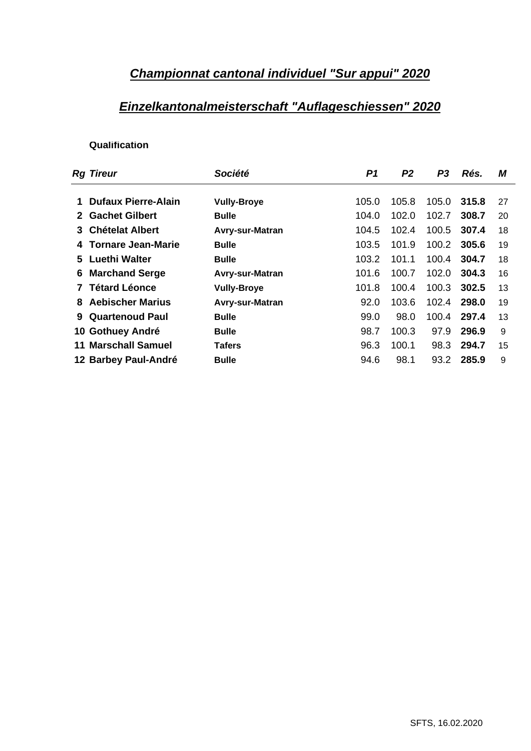#### **Championnat cantonal individuel "Sur appui" 2020**

### **Einzelkantonalmeisterschaft "Auflageschiessen" 2020**

| <b>Rg Tireur</b>           | Société                | P1 P2                          | P3 Rés. M  |  |
|----------------------------|------------------------|--------------------------------|------------|--|
|                            |                        |                                |            |  |
| 1 Dufaux Pierre-Alain      | <b>Vully-Broye</b>     | 105.0  105.8  105.0  315.8  27 |            |  |
| 2 Gachet Gilbert           | <b>Bulle</b>           | 104.0  102.0  102.7  308.7  20 |            |  |
| 3 Chételat Albert          | <b>Avry-sur-Matran</b> | 104.5 102.4 100.5 307.4 18     |            |  |
| 4 Tornare Jean-Marie       | <b>Bulle</b>           | 103.5 101.9 100.2 305.6 19     |            |  |
| 5 Luethi Walter            | <b>Bulle</b>           | 103.2 101.1 100.4 304.7 18     |            |  |
| <b>6 Marchand Serge</b>    | Avry-sur-Matran        | 101.6 100.7 102.0 304.3 16     |            |  |
| 7 Tétard Léonce            | <b>Vully-Broye</b>     | 101.8 100.4 100.3 302.5 13     |            |  |
| 8 Aebischer Marius         | Avry-sur-Matran        | 92.0 103.6 102.4 298.0 19      |            |  |
| 9 Quartenoud Paul          | <b>Bulle</b>           | 99.0 98.0 100.4 297.4 13       |            |  |
| 10 Gothuey André           | <b>Bulle</b>           | 98.7 100.3 97.9 296.9 9        |            |  |
| <b>11 Marschall Samuel</b> | <b>Tafers</b>          | 96.3 100.1 98.3 294.7 15       |            |  |
| 12 Barbey Paul-André       | <b>Bulle</b>           | 98.1<br>94.6                   | 93.2 285.9 |  |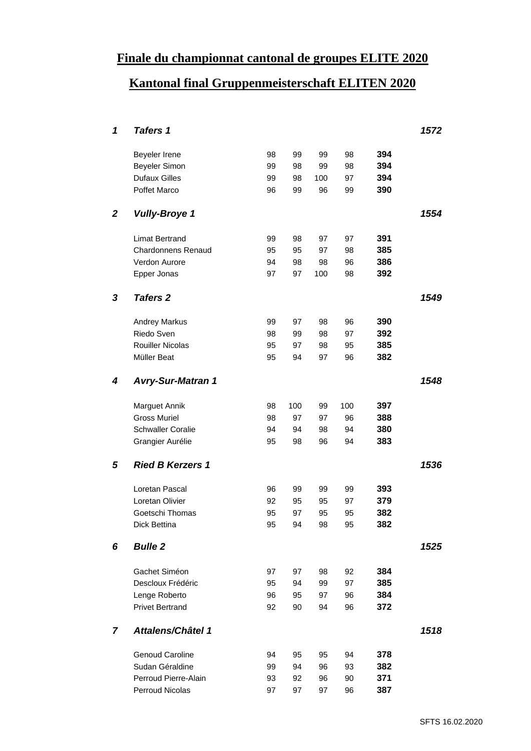### **Finale du championnat cantonal de groupes ELITE 2020**

## **Kantonal final Gruppenmeisterschaft ELITEN 2020**

| $\mathbf{1}$   | <b>Tafers 1</b>           |    |       |     |     |     | 1572 |
|----------------|---------------------------|----|-------|-----|-----|-----|------|
|                |                           |    |       |     |     |     |      |
|                | Beyeler Irene             | 98 | 99    | 99  | 98  | 394 |      |
|                | Beyeler Simon             | 99 | 98    | 99  | 98  | 394 |      |
|                | <b>Dufaux Gilles</b>      | 99 | 98    | 100 | 97  | 394 |      |
|                | Poffet Marco              | 96 | 99    | 96  | 99  | 390 |      |
|                |                           |    |       |     |     |     |      |
| $\overline{2}$ | <b>Vully-Broye 1</b>      |    |       |     |     |     | 1554 |
|                | <b>Limat Bertrand</b>     | 99 | 98    | 97  | 97  | 391 |      |
|                | <b>Chardonnens Renaud</b> | 95 | 95    | 97  | 98  | 385 |      |
|                | Verdon Aurore             | 94 | 98    | 98  | 96  | 386 |      |
|                | Epper Jonas               | 97 | 97    | 100 | 98  | 392 |      |
|                |                           |    |       |     |     |     |      |
| 3 <sup>7</sup> | <b>Tafers 2</b>           |    |       |     |     |     | 1549 |
|                |                           |    |       |     |     |     |      |
|                | Andrey Markus             | 99 | 97    | 98  | 96  | 390 |      |
|                | Riedo Sven                | 98 | 99    | 98  | 97  | 392 |      |
|                | <b>Rouiller Nicolas</b>   | 95 | 97    | 98  | 95  | 385 |      |
|                | Müller Beat               | 95 | 94    | 97  | 96  | 382 |      |
|                |                           |    |       |     |     |     |      |
|                | 4 Avry-Sur-Matran 1       |    |       |     |     |     | 1548 |
|                | <b>Marguet Annik</b>      | 98 | 100   | 99  | 100 | 397 |      |
|                | <b>Gross Muriel</b>       | 98 | 97    | 97  | 96  | 388 |      |
|                | <b>Schwaller Coralie</b>  | 94 | 94    | 98  | 94  | 380 |      |
|                | Grangier Aurélie          | 95 | 98    | 96  | 94  | 383 |      |
|                |                           |    |       |     |     |     |      |
|                | 5 Ried B Kerzers 1        |    |       |     |     |     | 1536 |
|                |                           |    |       |     |     |     |      |
|                | Loretan Pascal            | 96 | 99    | 99  | 99  | 393 |      |
|                | Loretan Olivier           | 92 | 95    | 95  | 97  | 379 |      |
|                | Goetschi Thomas           | 95 | 97    | 95  | 95  | 382 |      |
|                | Dick Bettina              |    | 95 94 | 98  | 95  | 382 |      |
|                | 6 Bulle 2                 |    |       |     |     |     | 1525 |
|                |                           |    |       |     |     |     |      |
|                | Gachet Siméon             | 97 | 97    | 98  | 92  | 384 |      |
|                | Descloux Frédéric         | 95 | 94    | 99  | 97  | 385 |      |
|                | Lenge Roberto             | 96 | 95    | 97  | 96  | 384 |      |
|                | <b>Privet Bertrand</b>    | 92 | 90    | 94  | 96  | 372 |      |
|                | 7 Attalens/Châtel 1       |    |       |     |     |     | 1518 |
|                |                           |    |       |     |     |     |      |
|                | <b>Genoud Caroline</b>    | 94 | 95    | 95  | 94  | 378 |      |
|                | Sudan Géraldine           | 99 | 94    | 96  | 93  | 382 |      |
|                | Perroud Pierre-Alain      | 93 | 92    | 96  | 90  | 371 |      |
|                | Perroud Nicolas           | 97 | 97    | 97  | 96  | 387 |      |
|                |                           |    |       |     |     |     |      |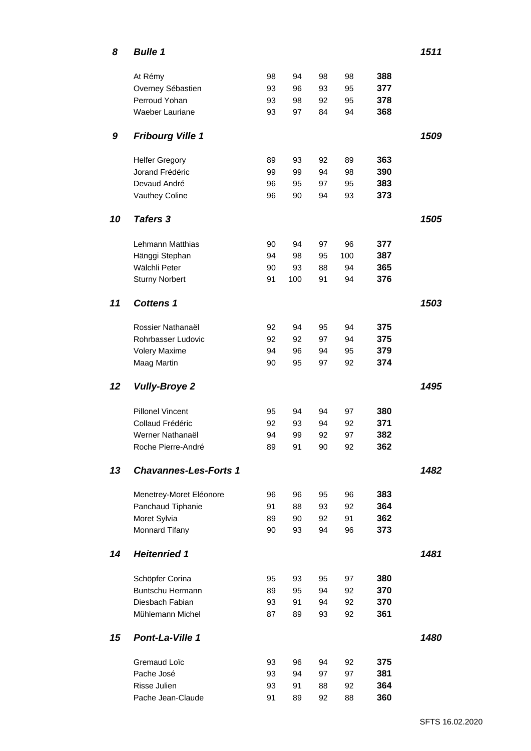| $\boldsymbol{8}$ | <b>Bulle 1</b>                          |          |              |          |          |            | 1511 |
|------------------|-----------------------------------------|----------|--------------|----------|----------|------------|------|
|                  | At Rémy                                 |          | 94           | 98       |          | 388        |      |
|                  | Overney Sébastien                       | 98<br>93 | 96           | 93       | 98<br>95 | 377        |      |
|                  | Perroud Yohan                           | 93       | 98           | 92       | 95       | 378        |      |
|                  | Waeber Lauriane                         | 93       | 97           | 84       | 94       | 368        |      |
|                  |                                         |          |              |          |          |            |      |
|                  | 9 Fribourg Ville 1                      |          |              |          |          |            | 1509 |
|                  | <b>Helfer Gregory</b>                   | 89       | 93           | 92       | 89       | 363        |      |
|                  | Jorand Frédéric                         | 99       | 99           | 94       | 98       | 390        |      |
|                  | Devaud André                            | 96       | 95           | 97       | $95\,$   | 383        |      |
|                  | <b>Vauthey Coline</b>                   | 96       | 90           | 94       | 93       | 373        |      |
|                  | 10 Tafers 3                             |          |              |          |          |            | 1505 |
|                  |                                         |          |              |          |          |            |      |
|                  | Lehmann Matthias                        | 90       | 94           | 97       | 96       | 377        |      |
|                  | Hänggi Stephan                          | 94       | 98           | 95       | 100      | 387<br>365 |      |
|                  | Wälchli Peter<br><b>Sturny Norbert</b>  | 90       | 93<br>91 100 | 88<br>91 | 94<br>94 | 376        |      |
|                  |                                         |          |              |          |          |            |      |
| 11               | <b>Cottens 1</b>                        |          |              |          |          |            | 1503 |
|                  |                                         |          |              |          |          |            |      |
|                  | Rossier Nathanaël<br>Rohrbasser Ludovic | 92       | 94           | 95<br>97 | 94       | 375<br>375 |      |
|                  | Volery Maxime                           | 92<br>94 | 92<br>96     | 94       | 94<br>95 | 379        |      |
|                  | Maag Martin                             | 90       | 95           | 97       | 92       | 374        |      |
|                  |                                         |          |              |          |          |            |      |
|                  | 12 Vully-Broye 2                        |          |              |          |          |            | 1495 |
|                  | <b>Pillonel Vincent</b>                 | 95       | 94           | 94       | 97       | 380        |      |
|                  | Collaud Frédéric                        | 92       | 93           | 94       | 92       | 371        |      |
|                  | Werner Nathanaël                        | 94       | 99           | 92       | 97       | 382        |      |
|                  | Roche Pierre-André                      |          | 89 91        | 90       | 92       | 362        |      |
|                  | 13 Chavannes-Les-Forts 1                |          |              |          |          |            | 1482 |
|                  |                                         |          |              |          |          |            |      |
|                  | Menetrey-Moret Eléonore                 | 96       | 96           | 95       | 96       | 383        |      |
|                  | Panchaud Tiphanie                       | 91       | 88           | 93       | 92       | 364        |      |
|                  | Moret Sylvia                            | 89       | 90           | 92       | 91       | 362        |      |
|                  | <b>Monnard Tifany</b>                   |          | 90 93        | 94       | 96       | 373        |      |
|                  | 14 Heitenried 1                         |          |              |          |          |            | 1481 |
|                  |                                         |          |              |          |          |            |      |
|                  | Schöpfer Corina                         | 95       | 93           | 95       | 97       | 380        |      |
|                  | Buntschu Hermann                        | 89       | 95           | 94       | 92       | 370        |      |
|                  | Diesbach Fabian                         | 93       | 91           | 94       | 92       | 370        |      |
|                  | Mühlemann Michel                        | 87       | 89           | 93       | 92       | 361        |      |
|                  | 15 Pont-La-Ville 1                      |          |              |          |          |            | 1480 |
|                  |                                         |          |              |          |          |            |      |
|                  | Gremaud Loïc                            | 93       | 96           | 94       | 92       | 375        |      |
|                  | Pache José<br>Risse Julien              | 93<br>93 | 94<br>91     | 97<br>88 | 97<br>92 | 381<br>364 |      |
|                  | Pache Jean-Claude                       |          | 91 89        | 92       | 88       | 360        |      |
|                  |                                         |          |              |          |          |            |      |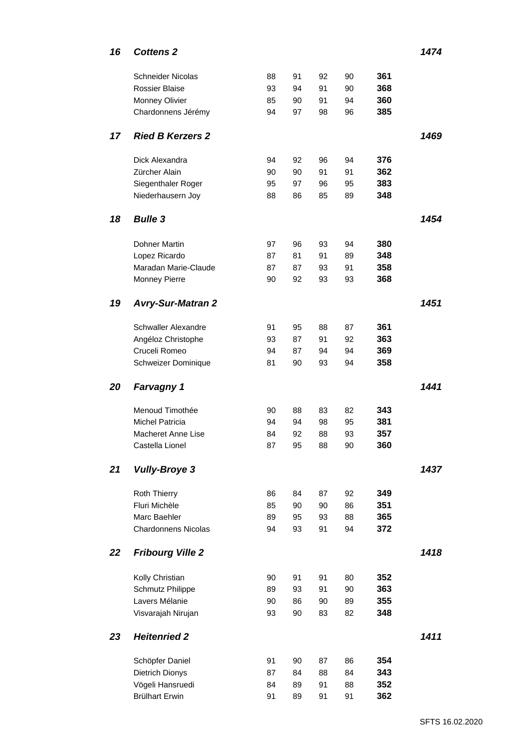| Schneider Nicolas                          |          |          |          |          |            | 1474 |
|--------------------------------------------|----------|----------|----------|----------|------------|------|
|                                            |          |          |          |          |            |      |
| Rossier Blaise                             | 88<br>93 | 91<br>94 | 92<br>91 | 90<br>90 | 361<br>368 |      |
| <b>Monney Olivier</b>                      | 85       | 90       | 91       | 94       | 360        |      |
| Chardonnens Jérémy                         | 94       | 97       | 98       | 96       | 385        |      |
|                                            |          |          |          |          |            |      |
| 17 Ried B Kerzers 2                        |          |          |          |          |            | 1469 |
|                                            |          |          |          |          |            |      |
| Dick Alexandra                             | 94       | 92       | 96       | 94       | 376        |      |
| Zürcher Alain<br>Siegenthaler Roger        | 90<br>95 | 90<br>97 | 91<br>96 | 91<br>95 | 362<br>383 |      |
| Niederhausern Joy                          | 88       | 86       | 85       | 89       | 348        |      |
|                                            |          |          |          |          |            |      |
| 18 Bulle 3                                 |          |          |          |          |            | 1454 |
|                                            |          |          |          |          |            |      |
| <b>Dohner Martin</b>                       | 97       | 96       | 93       | 94       | 380        |      |
| Lopez Ricardo                              | 87       | 81       | 91       | 89       | 348        |      |
| Maradan Marie-Claude                       | 87<br>90 | 87<br>92 | 93<br>93 | 91<br>93 | 358<br>368 |      |
| <b>Monney Pierre</b>                       |          |          |          |          |            |      |
| 19 Avry-Sur-Matran 2                       |          |          |          |          |            | 1451 |
|                                            |          |          |          |          |            |      |
| Schwaller Alexandre                        | 91       | 95       | 88       | 87       | 361        |      |
| Angéloz Christophe                         | 93       | 87       | 91       | 92       | 363        |      |
| Cruceli Romeo                              | 94       | 87       | 94       | 94       | 369        |      |
| Schweizer Dominique                        | 81       | 90       | 93       | 94       | 358        |      |
| 20 Farvagny 1                              |          |          |          |          |            | 1441 |
|                                            |          |          |          |          |            |      |
|                                            | 90       | 88       | 83       | 82       | 343        |      |
| Menoud Timothée                            |          |          | 98       | 95       | 381        |      |
| <b>Michel Patricia</b>                     | 94       | 94       |          |          |            |      |
| Macheret Anne Lise                         | 84       | 92       | 88       | 93       | 357        |      |
| Castella Lionel                            | 87       | 95       | 88       | 90       | 360        |      |
|                                            |          |          |          |          |            |      |
| 21 Vully-Broye 3                           |          |          |          |          |            | 1437 |
| <b>Roth Thierry</b>                        | 86       | 84       | 87       | 92       | 349        |      |
| Fluri Michèle                              | 85       | 90       | 90       | 86       | 351        |      |
| Marc Baehler                               | 89       | 95       | 93       | 88       | 365        |      |
| <b>Chardonnens Nicolas</b>                 | 94       | 93       | 91       | 94       | 372        |      |
|                                            |          |          |          |          |            |      |
| 22 Fribourg Ville 2                        |          |          |          |          |            | 1418 |
|                                            |          | 91       | 91       |          |            |      |
| Kolly Christian<br><b>Schmutz Philippe</b> | 90<br>89 | 93       | 91       | 80<br>90 | 352<br>363 |      |
| Lavers Mélanie                             | 90       | 86       | 90       | 89       | 355        |      |
| Visvarajah Nirujan                         | 93       | 90       | 83       | 82       | 348        |      |
|                                            |          |          |          |          |            |      |
| 23 Heitenried 2                            |          |          |          |          |            | 1411 |
|                                            |          |          |          |          |            |      |
| Schöpfer Daniel                            | 91       | 90<br>84 | 87       | 86       | 354        |      |
| <b>Dietrich Dionys</b><br>Vögeli Hansruedi | 87<br>84 | 89       | 88<br>91 | 84<br>88 | 343<br>352 |      |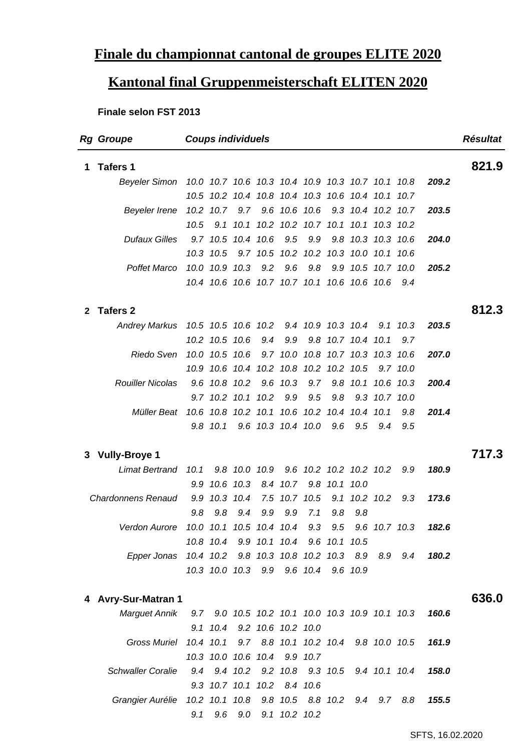### **Finale du championnat cantonal de groupes ELITE 2020**

## **Kantonal final Gruppenmeisterschaft ELITEN 2020**

#### **Finale selon FST 2013**

| <b>Rg Groupe</b>          | <b>Coups individuels</b>                                                                                                | <b>Résultat</b> |
|---------------------------|-------------------------------------------------------------------------------------------------------------------------|-----------------|
| 1 Tafers 1                |                                                                                                                         | 821.9           |
|                           | Beyeler Simon 10.0 10.7 10.6 10.3 10.4 10.9 10.3 10.7 10.1 10.8 209.2                                                   |                 |
|                           | 10.5 10.2 10.4 10.8 10.4 10.3 10.6 10.4 10.1 10.7<br>Beyeler Irene 10.2 10.7 9.7 9.6 10.6 10.6 9.3 10.4 10.2 10.7 203.5 |                 |
|                           | 10.5 9.1 10.1 10.2 10.2 10.7 10.1 10.1 10.3 10.2                                                                        |                 |
|                           | Dufaux Gilles 9.7 10.5 10.4 10.6 9.5 9.9 9.8 10.3 10.3 10.6 204.0                                                       |                 |
|                           | 10.3 10.5 9.7 10.5 10.2 10.2 10.3 10.0 10.1 10.6                                                                        |                 |
|                           | Poffet Marco 10.0 10.9 10.3 9.2 9.6 9.8 9.9 10.5 10.7 10.0 205.2                                                        |                 |
|                           | 10.4 10.6 10.6 10.7 10.7 10.1 10.6 10.6 10.6 9.4                                                                        |                 |
| 2 Tafers 2                |                                                                                                                         | 812.3           |
|                           | Andrey Markus 10.5 10.5 10.6 10.2 9.4 10.9 10.3 10.4 9.1 10.3 203.5                                                     |                 |
|                           | 10.2 10.5 10.6 9.4 9.9 9.8 10.7 10.4 10.1 9.7                                                                           |                 |
|                           | Riedo Sven 10.0 10.5 10.6 9.7 10.0 10.8 10.7 10.3 10.3 10.6 207.0                                                       |                 |
|                           | 10.9 10.6 10.4 10.2 10.8 10.2 10.2 10.5 9.7 10.0                                                                        |                 |
|                           | Rouiller Nicolas 9.6 10.8 10.2 9.6 10.3 9.7 9.8 10.1 10.6 10.3 200.4                                                    |                 |
|                           | 9.7 10.2 10.1 10.2 9.9 9.5 9.8 9.3 10.7 10.0                                                                            |                 |
| Müller Beat               | 10.6 10.8 10.2 10.1 10.6 10.2 10.4 10.4 10.1 9.8 201.4                                                                  |                 |
|                           | 9.8 10.1 9.6 10.3 10.4 10.0 9.6 9.5 9.4 9.5                                                                             |                 |
| 3 Vully-Broye 1           |                                                                                                                         | 717.3           |
|                           | Limat Bertrand 10.1 9.8 10.0 10.9 9.6 10.2 10.2 10.2 10.2 9.9 180.9                                                     |                 |
|                           | 9.9 10.6 10.3 8.4 10.7 9.8 10.1 10.0                                                                                    |                 |
| <b>Chardonnens Renaud</b> | 9.9 10.3 10.4 7.5 10.7 10.5 9.1 10.2 10.2 9.3 173.6                                                                     |                 |
|                           | 9.8 9.8 9.4 9.9 9.9 7.1 9.8 9.8                                                                                         |                 |
|                           | Verdon Aurore 10.0 10.1 10.5 10.4 10.4 9.3 9.5 9.6 10.7 10.3 182.6                                                      |                 |
|                           | 10.8 10.4 9.9 10.1 10.4 9.6 10.1 10.5                                                                                   |                 |
|                           | Epper Jonas 10.4 10.2 9.8 10.3 10.8 10.2 10.3 8.9 8.9 9.4 180.2                                                         |                 |
|                           | 10.3 10.0 10.3 9.9 9.6 10.4 9.6 10.9                                                                                    |                 |
| 4 Avry-Sur-Matran 1       |                                                                                                                         | 636.0           |
|                           | Marguet Annik 9.7 9.0 10.5 10.2 10.1 10.0 10.3 10.9 10.1 10.3 160.6                                                     |                 |
|                           | 9.1 10.4 9.2 10.6 10.2 10.0                                                                                             |                 |
|                           | Gross Muriel 10.4 10.1 9.7 8.8 10.1 10.2 10.4 9.8 10.0 10.5 161.9                                                       |                 |
|                           | 10.3 10.0 10.6 10.4 9.9 10.7                                                                                            |                 |
|                           | Schwaller Coralie 9.4 9.4 10.2 9.2 10.8 9.3 10.5 9.4 10.1 10.4 158.0                                                    |                 |
|                           | 9.3 10.7 10.1 10.2 8.4 10.6                                                                                             |                 |
|                           | Grangier Aurélie 10.2 10.1 10.8 9.8 10.5 8.8 10.2 9.4 9.7 8.8 155.5                                                     |                 |
|                           | 9.1 9.6 9.0 9.1 10.2 10.2                                                                                               |                 |

SFTS, 16.02.2020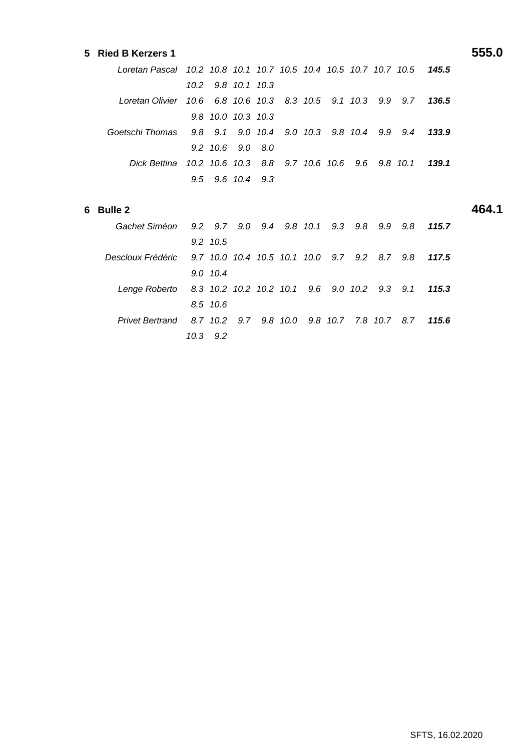#### **5 Ried B Kerzers 1 555.0**

| Loretan Pascal 10.2 10.8 10.1 10.7 10.5 10.4 10.5 10.7 10.7 10.5 145.5 |  |                    |  |  |
|------------------------------------------------------------------------|--|--------------------|--|--|
|                                                                        |  | 10.2 9.8 10.1 10.3 |  |  |
| Loretan Olivier 10.6 6.8 10.6 10.3 8.3 10.5 9.1 10.3 9.9 9.7 136.5     |  |                    |  |  |
|                                                                        |  | 9.8 10.0 10.3 10.3 |  |  |
| Goetschi Thomas 9.8 9.1 9.0 10.4 9.0 10.3 9.8 10.4 9.9 9.4 133.9       |  |                    |  |  |
|                                                                        |  | 9.2 10.6 9.0 8.0   |  |  |
| Dick Bettina 10.2 10.6 10.3 8.8 9.7 10.6 10.6 9.6 9.8 10.1 139.1       |  |                    |  |  |
|                                                                        |  | 9.5 9.6 10.4 9.3   |  |  |

#### **6 Bulle 2 464.1**

| Gachet Siméon 9.2 9.7 9.0 9.4 9.8 10.1 9.3 9.8 9.9 9.8 115.7         |  |
|----------------------------------------------------------------------|--|
| 9.2 10.5                                                             |  |
| Descloux Frédéric 9.7 10.0 10.4 10.5 10.1 10.0 9.7 9.2 8.7 9.8 117.5 |  |
| 9.0 10.4                                                             |  |
| Lenge Roberto 8.3 10.2 10.2 10.2 10.1 9.6 9.0 10.2 9.3 9.1 115.3     |  |
| 8.5 10.6                                                             |  |
| Privet Bertrand 8.7 10.2 9.7 9.8 10.0 9.8 10.7 7.8 10.7 8.7 115.6    |  |
| 10.3 9.2                                                             |  |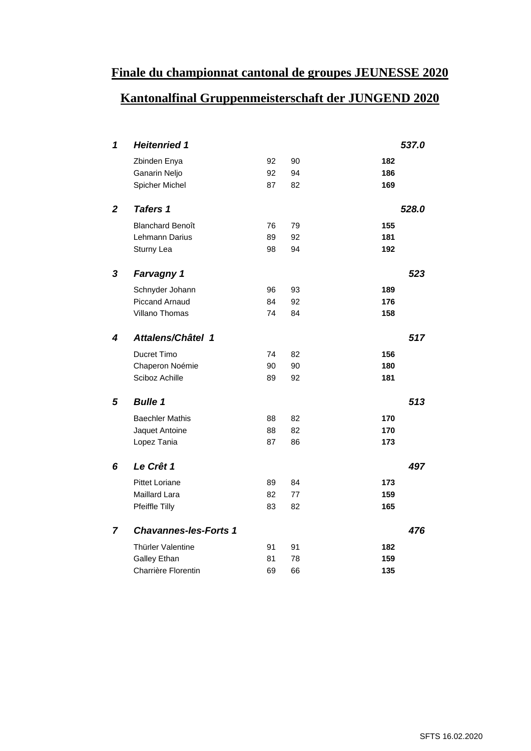#### **Finale du championnat cantonal de groupes JEUNESSE 2020**

### **Kantonalfinal Gruppenmeisterschaft der JUNGEND 2020**

| $\blacktriangleleft$    | <b>Heitenried 1</b>            |             |       |            | 537.0 |
|-------------------------|--------------------------------|-------------|-------|------------|-------|
|                         | Zbinden Enya                   | 92 90       |       | 182        |       |
|                         | Ganarin Neljo                  | 92 94       |       | 186        |       |
|                         | <b>Spicher Michel</b>          | 87 82       |       | 169        |       |
|                         | 2 Tafers 1                     |             |       |            | 528.0 |
|                         | <b>Blanchard Benoît</b>        |             | 76 79 | 155        |       |
|                         | Lehmann Darius                 | 89          | 92    | 181        |       |
|                         | Sturny Lea                     | 98 94       |       | 192        |       |
|                         |                                |             |       |            |       |
|                         | 3 Farvagny 1                   |             |       |            | 523   |
|                         | Schnyder Johann                |             | 96 93 | 189        |       |
|                         | <b>Piccand Arnaud</b>          | 84          | 92    | 176        |       |
|                         | Villano Thomas                 | 74 84       |       | 158        |       |
| $\overline{\mathbf{4}}$ | Attalens/Châtel 1              |             |       |            | 517   |
|                         |                                |             |       |            |       |
|                         | Ducret Timo<br>Chaperon Noémie | 74 82<br>90 | 90    | 156<br>180 |       |
|                         | Sciboz Achille                 |             | 89 92 | 181        |       |
|                         |                                |             |       |            |       |
|                         | 5 Bulle 1                      |             |       |            | 513   |
|                         | <b>Baechler Mathis</b>         | 88          | 82    | 170        |       |
|                         | Jaquet Antoine                 | 88          | 82    | 170        |       |
|                         | Lopez Tania                    | 87 86       |       | 173        |       |
|                         |                                |             |       |            |       |
|                         | 6 Le Crêt 1                    |             |       |            | 497   |
|                         | <b>Pittet Loriane</b>          | 89 84       |       | 173        |       |
|                         | Maillard Lara                  | 82          | 77    | 159        |       |
|                         | Pfeiffle Tilly                 | 83 82       |       | 165        |       |
|                         | 7 Chavannes-les-Forts 1        |             |       |            | 476   |
|                         | Thürler Valentine              | 91 91       |       | 182        |       |
|                         | <b>Galley Ethan</b>            | 81          | 78    | 159        |       |
|                         | Charrière Florentin            | 69          | 66    | 135        |       |